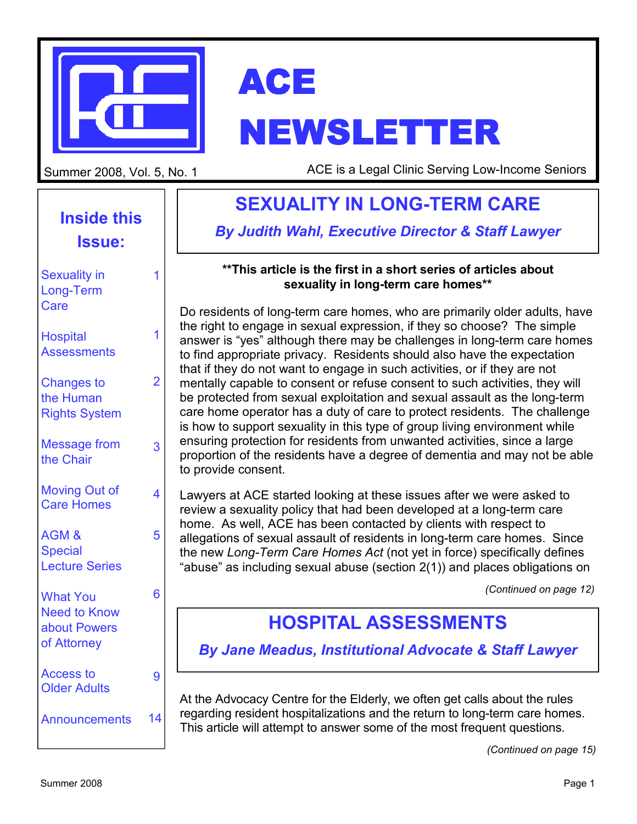



# NEWSLETTER

Summer 2008, Vol. 5, No. 1

ACE is a Legal Clinic Serving Low-Income Seniors

## **Inside this Issue:**

| <b>Sexuality in</b><br>Long-Term<br>Care                              | 1              |
|-----------------------------------------------------------------------|----------------|
| <b>Hospital</b><br><b>Assessments</b>                                 | 1              |
| <b>Changes to</b><br>the Human<br><b>Rights System</b>                | $\overline{2}$ |
| <b>Message from</b><br>the Chair                                      | 3              |
| <b>Moving Out of</b><br><b>Care Homes</b>                             | 4              |
| AGM&<br><b>Special</b><br><b>Lecture Series</b>                       | 5              |
| <b>What You</b><br><b>Need to Know</b><br>about Powers<br>of Attorney | 6              |
| <b>Access to</b><br><b>Older Adults</b>                               | 9              |
| <b>Announcements</b>                                                  | 14             |

## **SEXUALITY IN LONG-TERM CARE**

*By Judith Wahl, Executive Director & Staff Lawyer* 

#### **\*\*This article is the first in a short series of articles about sexuality in long-term care homes\*\***

Do residents of long-term care homes, who are primarily older adults, have the right to engage in sexual expression, if they so choose? The simple answer is "yes" although there may be challenges in long-term care homes to find appropriate privacy. Residents should also have the expectation that if they do not want to engage in such activities, or if they are not mentally capable to consent or refuse consent to such activities, they will be protected from sexual exploitation and sexual assault as the long-term care home operator has a duty of care to protect residents. The challenge is how to support sexuality in this type of group living environment while ensuring protection for residents from unwanted activities, since a large proportion of the residents have a degree of dementia and may not be able to provide consent.

Lawyers at ACE started looking at these issues after we were asked to review a sexuality policy that had been developed at a long-term care home. As well, ACE has been contacted by clients with respect to allegations of sexual assault of residents in long-term care homes. Since the new *Long-Term Care Homes Act* (not yet in force) specifically defines "abuse" as including sexual abuse (section 2(1)) and places obligations on

*(Continued on page 12)* 

## **HOSPITAL ASSESSMENTS**

*By Jane Meadus, Institutional Advocate & Staff Lawyer*

At the Advocacy Centre for the Elderly, we often get calls about the rules regarding resident hospitalizations and the return to long-term care homes. This article will attempt to answer some of the most frequent questions.

*(Continued on page 15)*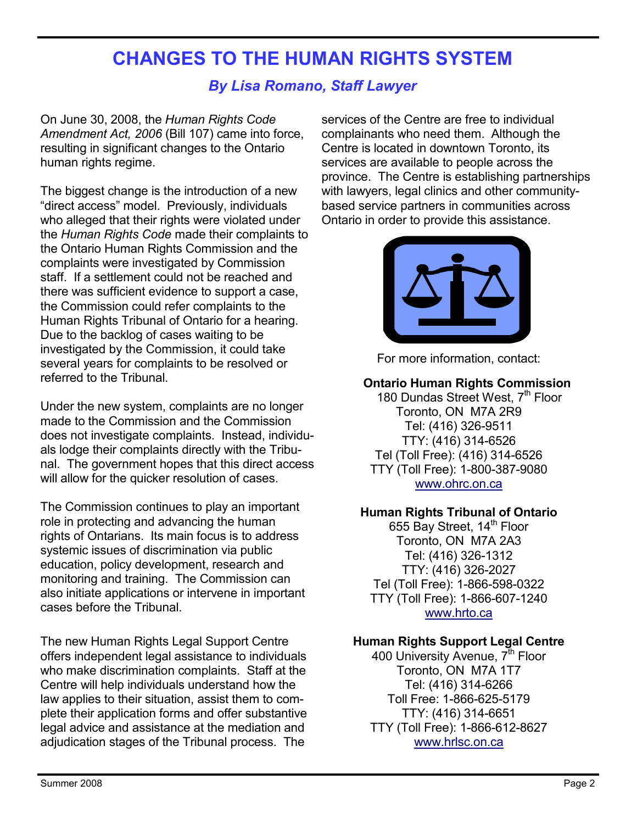## **CHANGES TO THE HUMAN RIGHTS SYSTEM**

#### *By Lisa Romano, Staff Lawyer*

On June 30, 2008, the *Human Rights Code Amendment Act, 2006* (Bill 107) came into force, resulting in significant changes to the Ontario human rights regime.

The biggest change is the introduction of a new "direct access" model. Previously, individuals who alleged that their rights were violated under the *Human Rights Code* made their complaints to the Ontario Human Rights Commission and the complaints were investigated by Commission staff. If a settlement could not be reached and there was sufficient evidence to support a case, the Commission could refer complaints to the Human Rights Tribunal of Ontario for a hearing. Due to the backlog of cases waiting to be investigated by the Commission, it could take several years for complaints to be resolved or referred to the Tribunal.

Under the new system, complaints are no longer made to the Commission and the Commission does not investigate complaints. Instead, individuals lodge their complaints directly with the Tribunal. The government hopes that this direct access will allow for the quicker resolution of cases.

The Commission continues to play an important role in protecting and advancing the human rights of Ontarians. Its main focus is to address systemic issues of discrimination via public education, policy development, research and monitoring and training. The Commission can also initiate applications or intervene in important cases before the Tribunal.

The new Human Rights Legal Support Centre offers independent legal assistance to individuals who make discrimination complaints. Staff at the Centre will help individuals understand how the law applies to their situation, assist them to complete their application forms and offer substantive legal advice and assistance at the mediation and adjudication stages of the Tribunal process. The

services of the Centre are free to individual complainants who need them. Although the Centre is located in downtown Toronto, its services are available to people across the province. The Centre is establishing partnerships with lawyers, legal clinics and other communitybased service partners in communities across Ontario in order to provide this assistance.



For more information, contact:

#### **Ontario Human Rights Commission**

180 Dundas Street West, 7th Floor Toronto, ON M7A 2R9 Tel: (416) 326-9511 TTY: (416) 314-6526 Tel (Toll Free): (416) 314-6526 TTY (Toll Free): 1-800-387-9080 www.ohrc.on.ca

#### **Human Rights Tribunal of Ontario**

655 Bay Street, 14<sup>th</sup> Floor Toronto, ON M7A 2A3 Tel: (416) 326-1312 TTY: (416) 326-2027 Tel (Toll Free): 1-866-598-0322 TTY (Toll Free): 1-866-607-1240 www.hrto.ca

#### **Human Rights Support Legal Centre**

400 University Avenue,  $7<sup>th</sup>$  Floor Toronto, ON M7A 1T7 Tel: (416) 314-6266 Toll Free: 1-866-625-5179 TTY: (416) 314-6651 TTY (Toll Free): 1-866-612-8627 www.hrlsc.on.ca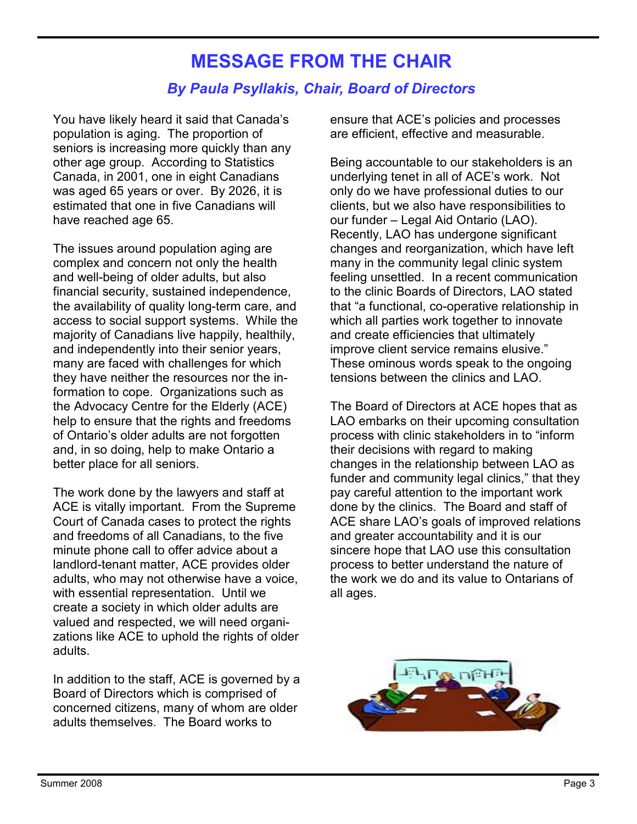## **MESSAGE FROM THE CHAIR**

#### *By Paula Psyllakis, Chair, Board of Directors*

You have likely heard it said that Canada's population is aging. The proportion of seniors is increasing more quickly than any other age group. According to Statistics Canada, in 2001, one in eight Canadians was aged 65 years or over. By 2026, it is estimated that one in five Canadians will have reached age 65.

The issues around population aging are complex and concern not only the health and well-being of older adults, but also financial security, sustained independence, the availability of quality long-term care, and access to social support systems. While the majority of Canadians live happily, healthily, and independently into their senior years, many are faced with challenges for which they have neither the resources nor the information to cope. Organizations such as the Advocacy Centre for the Elderly (ACE) help to ensure that the rights and freedoms of Ontario's older adults are not forgotten and, in so doing, help to make Ontario a better place for all seniors.

The work done by the lawyers and staff at ACE is vitally important. From the Supreme Court of Canada cases to protect the rights and freedoms of all Canadians, to the five minute phone call to offer advice about a landlord-tenant matter, ACE provides older adults, who may not otherwise have a voice, with essential representation. Until we create a society in which older adults are valued and respected, we will need organizations like ACE to uphold the rights of older adults.

In addition to the staff, ACE is governed by a Board of Directors which is comprised of concerned citizens, many of whom are older adults themselves. The Board works to

ensure that ACE's policies and processes are efficient, effective and measurable.

Being accountable to our stakeholders is an underlying tenet in all of ACE's work. Not only do we have professional duties to our clients, but we also have responsibilities to our funder – Legal Aid Ontario (LAO). Recently, LAO has undergone significant changes and reorganization, which have left many in the community legal clinic system feeling unsettled. In a recent communication to the clinic Boards of Directors, LAO stated that "a functional, co-operative relationship in which all parties work together to innovate and create efficiencies that ultimately improve client service remains elusive." These ominous words speak to the ongoing tensions between the clinics and LAO.

The Board of Directors at ACE hopes that as LAO embarks on their upcoming consultation process with clinic stakeholders in to "inform their decisions with regard to making changes in the relationship between LAO as funder and community legal clinics," that they pay careful attention to the important work done by the clinics. The Board and staff of ACE share LAO's goals of improved relations and greater accountability and it is our sincere hope that LAO use this consultation process to better understand the nature of the work we do and its value to Ontarians of all ages.

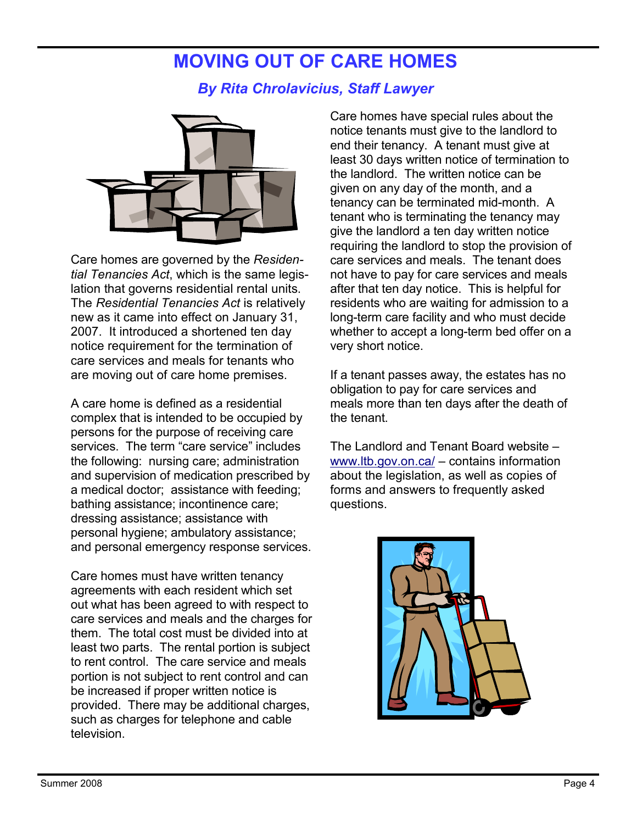## **MOVING OUT OF CARE HOMES**

### *By Rita Chrolavicius, Staff Lawyer*



Care homes are governed by the *Residential Tenancies Act*, which is the same legislation that governs residential rental units. The *Residential Tenancies Act* is relatively new as it came into effect on January 31, 2007. It introduced a shortened ten day notice requirement for the termination of care services and meals for tenants who are moving out of care home premises.

A care home is defined as a residential complex that is intended to be occupied by persons for the purpose of receiving care services. The term "care service" includes the following: nursing care; administration and supervision of medication prescribed by a medical doctor; assistance with feeding; bathing assistance; incontinence care; dressing assistance; assistance with personal hygiene; ambulatory assistance; and personal emergency response services.

Care homes must have written tenancy agreements with each resident which set out what has been agreed to with respect to care services and meals and the charges for them. The total cost must be divided into at least two parts. The rental portion is subject to rent control. The care service and meals portion is not subject to rent control and can be increased if proper written notice is provided. There may be additional charges, such as charges for telephone and cable television.

Care homes have special rules about the notice tenants must give to the landlord to end their tenancy. A tenant must give at least 30 days written notice of termination to the landlord. The written notice can be given on any day of the month, and a tenancy can be terminated mid-month. A tenant who is terminating the tenancy may give the landlord a ten day written notice requiring the landlord to stop the provision of care services and meals. The tenant does not have to pay for care services and meals after that ten day notice. This is helpful for residents who are waiting for admission to a long-term care facility and who must decide whether to accept a long-term bed offer on a very short notice.

If a tenant passes away, the estates has no obligation to pay for care services and meals more than ten days after the death of the tenant.

The Landlord and Tenant Board website – www.ltb.gov.on.ca/ – contains information about the legislation, as well as copies of forms and answers to frequently asked questions.

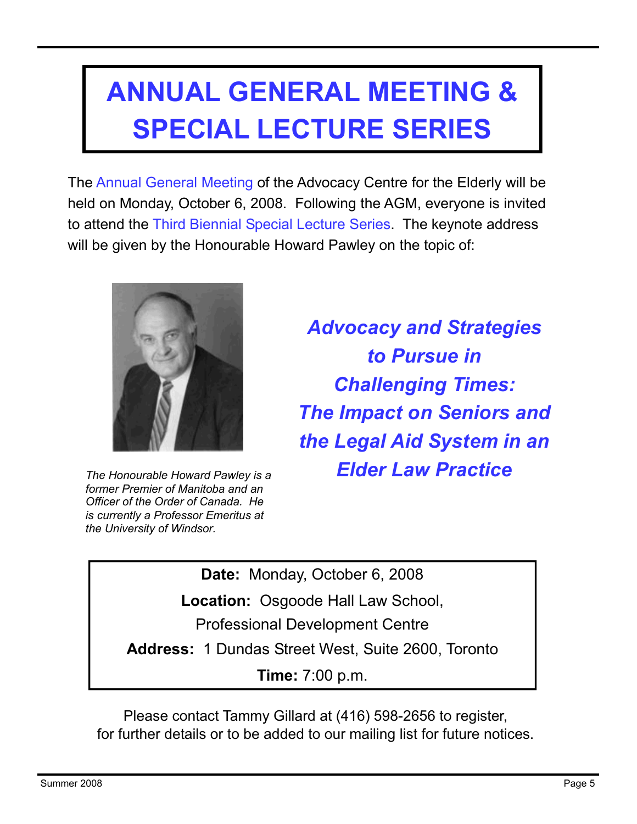## **ANNUAL GENERAL MEETING & SPECIAL LECTURE SERIES**

The Annual General Meeting of the Advocacy Centre for the Elderly will be held on Monday, October 6, 2008. Following the AGM, everyone is invited to attend the Third Biennial Special Lecture Series. The keynote address will be given by the Honourable Howard Pawley on the topic of:



*The Honourable Howard Pawley is a former Premier of Manitoba and an Officer of the Order of Canada. He is currently a Professor Emeritus at the University of Windsor.* 

*Advocacy and Strategies to Pursue in Challenging Times: The Impact on Seniors and the Legal Aid System in an Elder Law Practice* 

**Date:** Monday, October 6, 2008

**Location:** Osgoode Hall Law School,

Professional Development Centre

**Address:** 1 Dundas Street West, Suite 2600, Toronto

**Time:** 7:00 p.m.

Please contact Tammy Gillard at (416) 598-2656 to register, for further details or to be added to our mailing list for future notices.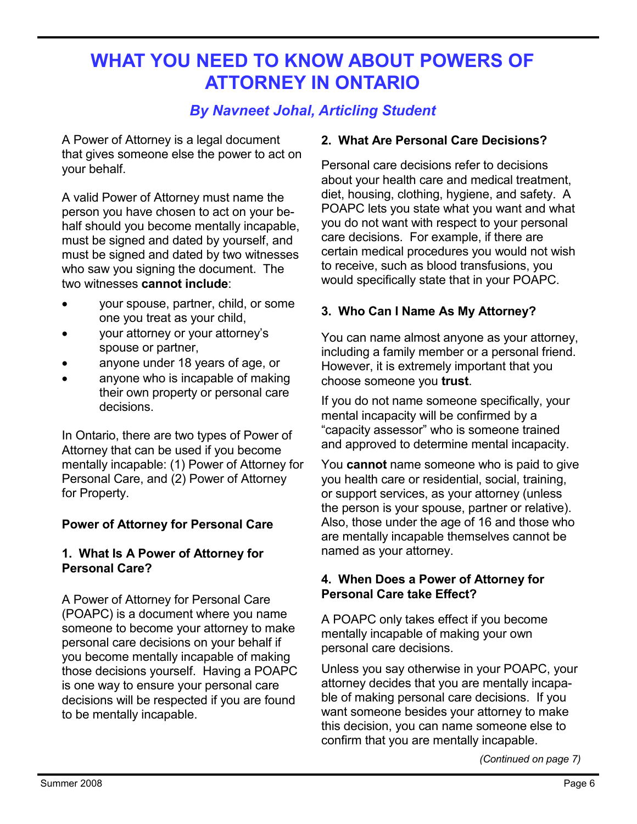## **WHAT YOU NEED TO KNOW ABOUT POWERS OF ATTORNEY IN ONTARIO**

### *By Navneet Johal, Articling Student*

A Power of Attorney is a legal document that gives someone else the power to act on your behalf.

A valid Power of Attorney must name the person you have chosen to act on your behalf should you become mentally incapable, must be signed and dated by yourself, and must be signed and dated by two witnesses who saw you signing the document. The two witnesses **cannot include**:

- your spouse, partner, child, or some one you treat as your child,
- your attorney or your attorney's spouse or partner,
- anyone under 18 years of age, or
- anyone who is incapable of making their own property or personal care decisions.

In Ontario, there are two types of Power of Attorney that can be used if you become mentally incapable: (1) Power of Attorney for Personal Care, and (2) Power of Attorney for Property.

#### **Power of Attorney for Personal Care**

#### **1. What Is A Power of Attorney for Personal Care?**

A Power of Attorney for Personal Care (POAPC) is a document where you name someone to become your attorney to make personal care decisions on your behalf if you become mentally incapable of making those decisions yourself. Having a POAPC is one way to ensure your personal care decisions will be respected if you are found to be mentally incapable.

#### **2. What Are Personal Care Decisions?**

Personal care decisions refer to decisions about your health care and medical treatment, diet, housing, clothing, hygiene, and safety. A POAPC lets you state what you want and what you do not want with respect to your personal care decisions. For example, if there are certain medical procedures you would not wish to receive, such as blood transfusions, you would specifically state that in your POAPC.

#### **3. Who Can I Name As My Attorney?**

You can name almost anyone as your attorney, including a family member or a personal friend. However, it is extremely important that you choose someone you **trust**.

If you do not name someone specifically, your mental incapacity will be confirmed by a "capacity assessor" who is someone trained and approved to determine mental incapacity.

You **cannot** name someone who is paid to give you health care or residential, social, training, or support services, as your attorney (unless the person is your spouse, partner or relative). Also, those under the age of 16 and those who are mentally incapable themselves cannot be named as your attorney.

#### **4. When Does a Power of Attorney for Personal Care take Effect?**

A POAPC only takes effect if you become mentally incapable of making your own personal care decisions.

Unless you say otherwise in your POAPC, your attorney decides that you are mentally incapable of making personal care decisions. If you want someone besides your attorney to make this decision, you can name someone else to confirm that you are mentally incapable.

*(Continued on page 7)*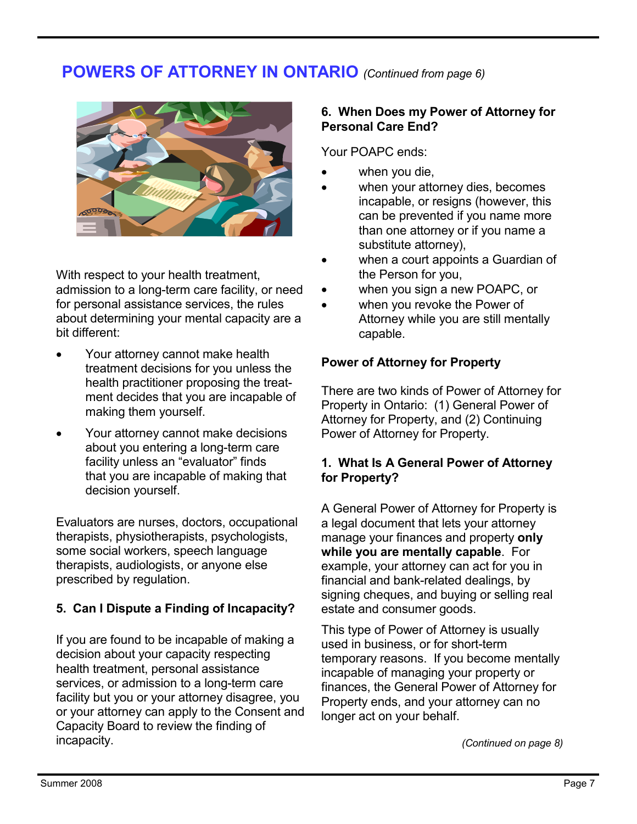## **POWERS OF ATTORNEY IN ONTARIO** *(Continued from page 6)*



With respect to your health treatment, admission to a long-term care facility, or need for personal assistance services, the rules about determining your mental capacity are a bit different:

- Your attorney cannot make health treatment decisions for you unless the health practitioner proposing the treatment decides that you are incapable of making them yourself.
- Your attorney cannot make decisions about you entering a long-term care facility unless an "evaluator" finds that you are incapable of making that decision yourself.

Evaluators are nurses, doctors, occupational therapists, physiotherapists, psychologists, some social workers, speech language therapists, audiologists, or anyone else prescribed by regulation.

#### **5. Can I Dispute a Finding of Incapacity?**

If you are found to be incapable of making a decision about your capacity respecting health treatment, personal assistance services, or admission to a long-term care facility but you or your attorney disagree, you or your attorney can apply to the Consent and Capacity Board to review the finding of incapacity.

#### **6. When Does my Power of Attorney for Personal Care End?**

Your POAPC ends:

- when you die,
- when your attorney dies, becomes incapable, or resigns (however, this can be prevented if you name more than one attorney or if you name a substitute attorney),
- when a court appoints a Guardian of the Person for you,
- when you sign a new POAPC, or
- when you revoke the Power of Attorney while you are still mentally capable.

#### **Power of Attorney for Property**

There are two kinds of Power of Attorney for Property in Ontario: (1) General Power of Attorney for Property, and (2) Continuing Power of Attorney for Property.

#### **1. What Is A General Power of Attorney for Property?**

A General Power of Attorney for Property is a legal document that lets your attorney manage your finances and property **only while you are mentally capable**. For example, your attorney can act for you in financial and bank-related dealings, by signing cheques, and buying or selling real estate and consumer goods.

This type of Power of Attorney is usually used in business, or for short-term temporary reasons. If you become mentally incapable of managing your property or finances, the General Power of Attorney for Property ends, and your attorney can no longer act on your behalf.

*(Continued on page 8)*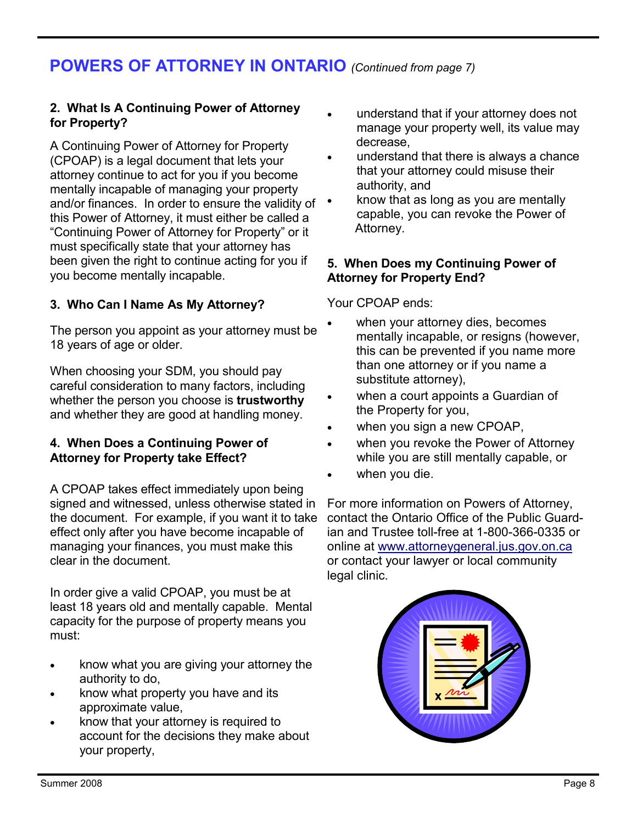## **POWERS OF ATTORNEY IN ONTARIO** *(Continued from page 7)*

#### **2. What Is A Continuing Power of Attorney for Property?**

A Continuing Power of Attorney for Property (CPOAP) is a legal document that lets your attorney continue to act for you if you become mentally incapable of managing your property and/or finances. In order to ensure the validity of this Power of Attorney, it must either be called a "Continuing Power of Attorney for Property" or it must specifically state that your attorney has been given the right to continue acting for you if you become mentally incapable.

#### **3. Who Can I Name As My Attorney?**

The person you appoint as your attorney must be 18 years of age or older.

When choosing your SDM, you should pay careful consideration to many factors, including whether the person you choose is **trustworthy** and whether they are good at handling money.

#### **4. When Does a Continuing Power of Attorney for Property take Effect?**

A CPOAP takes effect immediately upon being signed and witnessed, unless otherwise stated in the document. For example, if you want it to take effect only after you have become incapable of managing your finances, you must make this clear in the document.

In order give a valid CPOAP, you must be at least 18 years old and mentally capable. Mental capacity for the purpose of property means you must:

- know what you are giving your attorney the authority to do,
- know what property you have and its approximate value,
- know that your attorney is required to account for the decisions they make about your property,
- understand that if your attorney does not manage your property well, its value may decrease,
- understand that there is always a chance that your attorney could misuse their authority, and
- know that as long as you are mentally capable, you can revoke the Power of Attorney.

#### **5. When Does my Continuing Power of Attorney for Property End?**

Your CPOAP ends:

- when your attorney dies, becomes mentally incapable, or resigns (however, this can be prevented if you name more than one attorney or if you name a substitute attorney),
- when a court appoints a Guardian of the Property for you,
- when you sign a new CPOAP,
- when you revoke the Power of Attorney while you are still mentally capable, or
- when you die.

For more information on Powers of Attorney, contact the Ontario Office of the Public Guardian and Trustee toll-free at 1-800-366-0335 or online at www.attorneygeneral.jus.gov.on.ca or contact your lawyer or local community legal clinic.

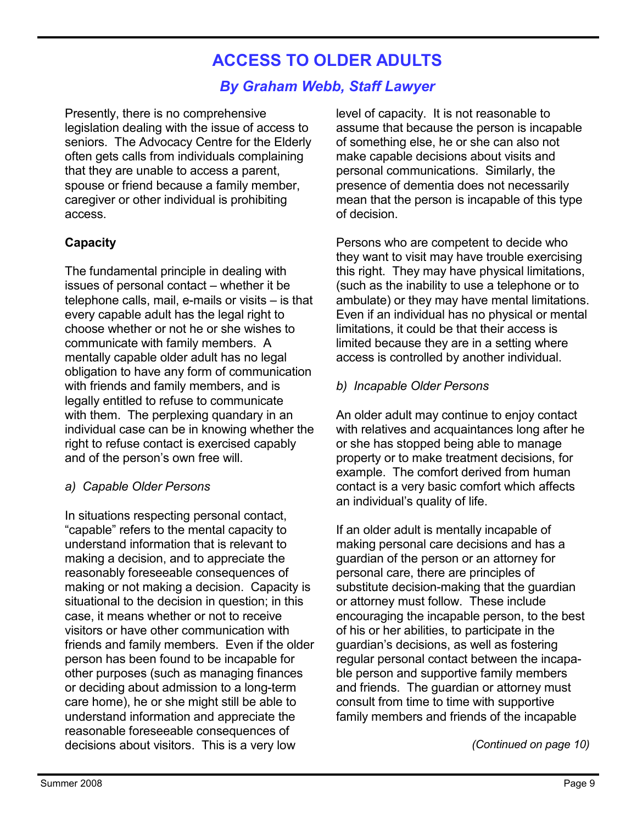## **ACCESS TO OLDER ADULTS**

#### *By Graham Webb, Staff Lawyer*

Presently, there is no comprehensive legislation dealing with the issue of access to seniors. The Advocacy Centre for the Elderly often gets calls from individuals complaining that they are unable to access a parent, spouse or friend because a family member, caregiver or other individual is prohibiting access.

#### **Capacity**

The fundamental principle in dealing with issues of personal contact – whether it be telephone calls, mail, e-mails or visits – is that every capable adult has the legal right to choose whether or not he or she wishes to communicate with family members. A mentally capable older adult has no legal obligation to have any form of communication with friends and family members, and is legally entitled to refuse to communicate with them. The perplexing quandary in an individual case can be in knowing whether the right to refuse contact is exercised capably and of the person's own free will.

#### *a) Capable Older Persons*

In situations respecting personal contact, "capable" refers to the mental capacity to understand information that is relevant to making a decision, and to appreciate the reasonably foreseeable consequences of making or not making a decision. Capacity is situational to the decision in question; in this case, it means whether or not to receive visitors or have other communication with friends and family members. Even if the older person has been found to be incapable for other purposes (such as managing finances or deciding about admission to a long-term care home), he or she might still be able to understand information and appreciate the reasonable foreseeable consequences of decisions about visitors. This is a very low

level of capacity. It is not reasonable to assume that because the person is incapable of something else, he or she can also not make capable decisions about visits and personal communications. Similarly, the presence of dementia does not necessarily mean that the person is incapable of this type of decision.

Persons who are competent to decide who they want to visit may have trouble exercising this right. They may have physical limitations, (such as the inability to use a telephone or to ambulate) or they may have mental limitations. Even if an individual has no physical or mental limitations, it could be that their access is limited because they are in a setting where access is controlled by another individual.

#### *b) Incapable Older Persons*

An older adult may continue to enjoy contact with relatives and acquaintances long after he or she has stopped being able to manage property or to make treatment decisions, for example. The comfort derived from human contact is a very basic comfort which affects an individual's quality of life.

If an older adult is mentally incapable of making personal care decisions and has a guardian of the person or an attorney for personal care, there are principles of substitute decision-making that the guardian or attorney must follow. These include encouraging the incapable person, to the best of his or her abilities, to participate in the guardian's decisions, as well as fostering regular personal contact between the incapable person and supportive family members and friends. The guardian or attorney must consult from time to time with supportive family members and friends of the incapable

*(Continued on page 10)*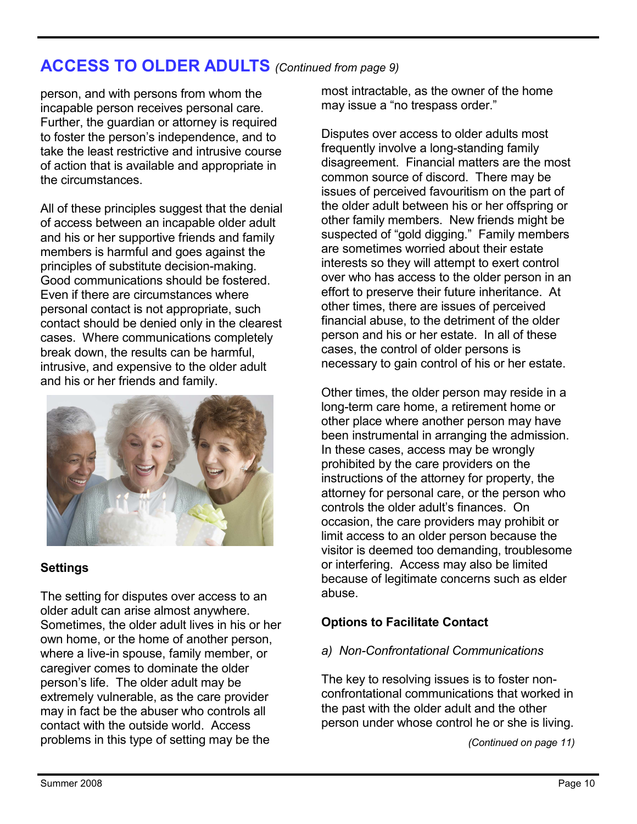## **ACCESS TO OLDER ADULTS** *(Continued from page 9)*

person, and with persons from whom the incapable person receives personal care. Further, the guardian or attorney is required to foster the person's independence, and to take the least restrictive and intrusive course of action that is available and appropriate in the circumstances.

All of these principles suggest that the denial of access between an incapable older adult and his or her supportive friends and family members is harmful and goes against the principles of substitute decision-making. Good communications should be fostered. Even if there are circumstances where personal contact is not appropriate, such contact should be denied only in the clearest cases. Where communications completely break down, the results can be harmful, intrusive, and expensive to the older adult and his or her friends and family.



#### **Settings**

The setting for disputes over access to an older adult can arise almost anywhere. Sometimes, the older adult lives in his or her own home, or the home of another person, where a live-in spouse, family member, or caregiver comes to dominate the older person's life. The older adult may be extremely vulnerable, as the care provider may in fact be the abuser who controls all contact with the outside world. Access problems in this type of setting may be the

most intractable, as the owner of the home may issue a "no trespass order."

Disputes over access to older adults most frequently involve a long-standing family disagreement. Financial matters are the most common source of discord. There may be issues of perceived favouritism on the part of the older adult between his or her offspring or other family members. New friends might be suspected of "gold digging." Family members are sometimes worried about their estate interests so they will attempt to exert control over who has access to the older person in an effort to preserve their future inheritance. At other times, there are issues of perceived financial abuse, to the detriment of the older person and his or her estate. In all of these cases, the control of older persons is necessary to gain control of his or her estate.

Other times, the older person may reside in a long-term care home, a retirement home or other place where another person may have been instrumental in arranging the admission. In these cases, access may be wrongly prohibited by the care providers on the instructions of the attorney for property, the attorney for personal care, or the person who controls the older adult's finances. On occasion, the care providers may prohibit or limit access to an older person because the visitor is deemed too demanding, troublesome or interfering. Access may also be limited because of legitimate concerns such as elder abuse.

#### **Options to Facilitate Contact**

#### *a) Non-Confrontational Communications*

The key to resolving issues is to foster nonconfrontational communications that worked in the past with the older adult and the other person under whose control he or she is living.

*(Continued on page 11)*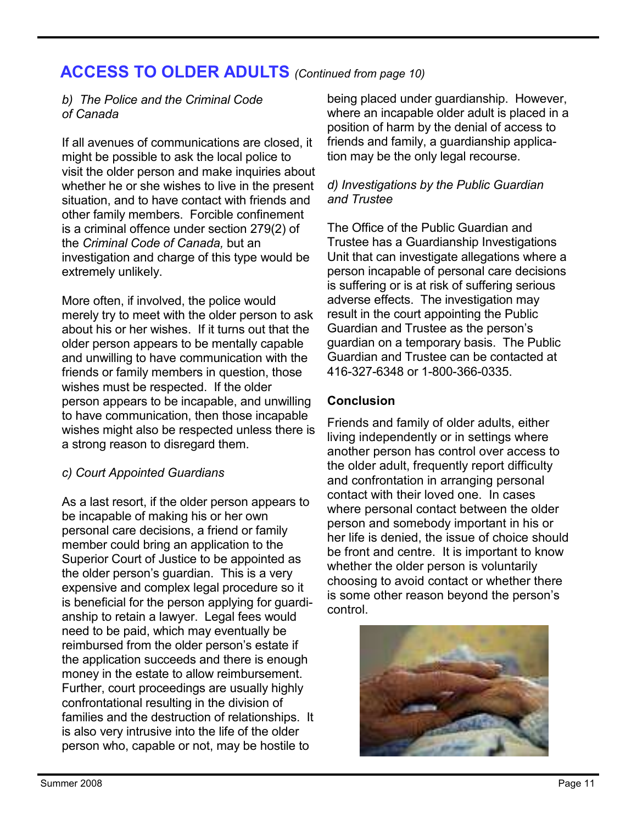## **ACCESS TO OLDER ADULTS** *(Continued from page 10)*

#### *b) The Police and the Criminal Code of Canada*

If all avenues of communications are closed, it might be possible to ask the local police to visit the older person and make inquiries about whether he or she wishes to live in the present situation, and to have contact with friends and other family members. Forcible confinement is a criminal offence under section 279(2) of the *Criminal Code of Canada,* but an investigation and charge of this type would be extremely unlikely.

More often, if involved, the police would merely try to meet with the older person to ask about his or her wishes. If it turns out that the older person appears to be mentally capable and unwilling to have communication with the friends or family members in question, those wishes must be respected. If the older person appears to be incapable, and unwilling to have communication, then those incapable wishes might also be respected unless there is a strong reason to disregard them.

#### *c) Court Appointed Guardians*

As a last resort, if the older person appears to be incapable of making his or her own personal care decisions, a friend or family member could bring an application to the Superior Court of Justice to be appointed as the older person's guardian. This is a very expensive and complex legal procedure so it is beneficial for the person applying for guardianship to retain a lawyer. Legal fees would need to be paid, which may eventually be reimbursed from the older person's estate if the application succeeds and there is enough money in the estate to allow reimbursement. Further, court proceedings are usually highly confrontational resulting in the division of families and the destruction of relationships. It is also very intrusive into the life of the older person who, capable or not, may be hostile to

being placed under guardianship. However, where an incapable older adult is placed in a position of harm by the denial of access to friends and family, a guardianship application may be the only legal recourse.

#### *d) Investigations by the Public Guardian and Trustee*

The Office of the Public Guardian and Trustee has a Guardianship Investigations Unit that can investigate allegations where a person incapable of personal care decisions is suffering or is at risk of suffering serious adverse effects. The investigation may result in the court appointing the Public Guardian and Trustee as the person's guardian on a temporary basis. The Public Guardian and Trustee can be contacted at 416-327-6348 or 1-800-366-0335.

#### **Conclusion**

Friends and family of older adults, either living independently or in settings where another person has control over access to the older adult, frequently report difficulty and confrontation in arranging personal contact with their loved one. In cases where personal contact between the older person and somebody important in his or her life is denied, the issue of choice should be front and centre. It is important to know whether the older person is voluntarily choosing to avoid contact or whether there is some other reason beyond the person's control.

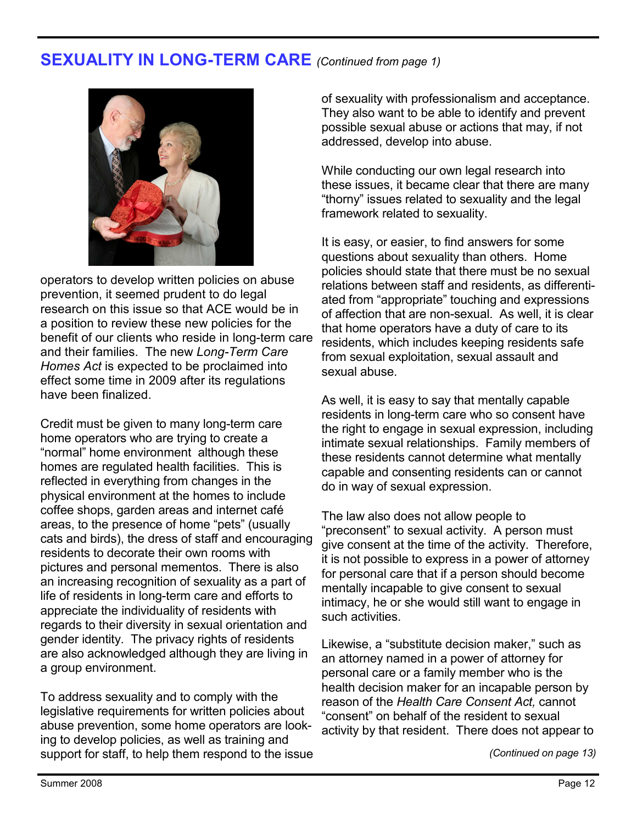### **SEXUALITY IN LONG-TERM CARE** *(Continued from page 1)*



operators to develop written policies on abuse prevention, it seemed prudent to do legal research on this issue so that ACE would be in a position to review these new policies for the benefit of our clients who reside in long-term care and their families. The new *Long-Term Care Homes Act* is expected to be proclaimed into effect some time in 2009 after its regulations have been finalized.

Credit must be given to many long-term care home operators who are trying to create a "normal" home environment although these homes are regulated health facilities. This is reflected in everything from changes in the physical environment at the homes to include coffee shops, garden areas and internet café areas, to the presence of home "pets" (usually cats and birds), the dress of staff and encouraging residents to decorate their own rooms with pictures and personal mementos. There is also an increasing recognition of sexuality as a part of life of residents in long-term care and efforts to appreciate the individuality of residents with regards to their diversity in sexual orientation and gender identity. The privacy rights of residents are also acknowledged although they are living in a group environment.

To address sexuality and to comply with the legislative requirements for written policies about abuse prevention, some home operators are looking to develop policies, as well as training and support for staff, to help them respond to the issue

of sexuality with professionalism and acceptance. They also want to be able to identify and prevent possible sexual abuse or actions that may, if not addressed, develop into abuse.

While conducting our own legal research into these issues, it became clear that there are many "thorny" issues related to sexuality and the legal framework related to sexuality.

It is easy, or easier, to find answers for some questions about sexuality than others. Home policies should state that there must be no sexual relations between staff and residents, as differentiated from "appropriate" touching and expressions of affection that are non-sexual. As well, it is clear that home operators have a duty of care to its residents, which includes keeping residents safe from sexual exploitation, sexual assault and sexual abuse.

As well, it is easy to say that mentally capable residents in long-term care who so consent have the right to engage in sexual expression, including intimate sexual relationships. Family members of these residents cannot determine what mentally capable and consenting residents can or cannot do in way of sexual expression.

The law also does not allow people to "preconsent" to sexual activity. A person must give consent at the time of the activity. Therefore, it is not possible to express in a power of attorney for personal care that if a person should become mentally incapable to give consent to sexual intimacy, he or she would still want to engage in such activities.

Likewise, a "substitute decision maker," such as an attorney named in a power of attorney for personal care or a family member who is the health decision maker for an incapable person by reason of the *Health Care Consent Act,* cannot "consent" on behalf of the resident to sexual activity by that resident. There does not appear to 

*(Continued on page 13)*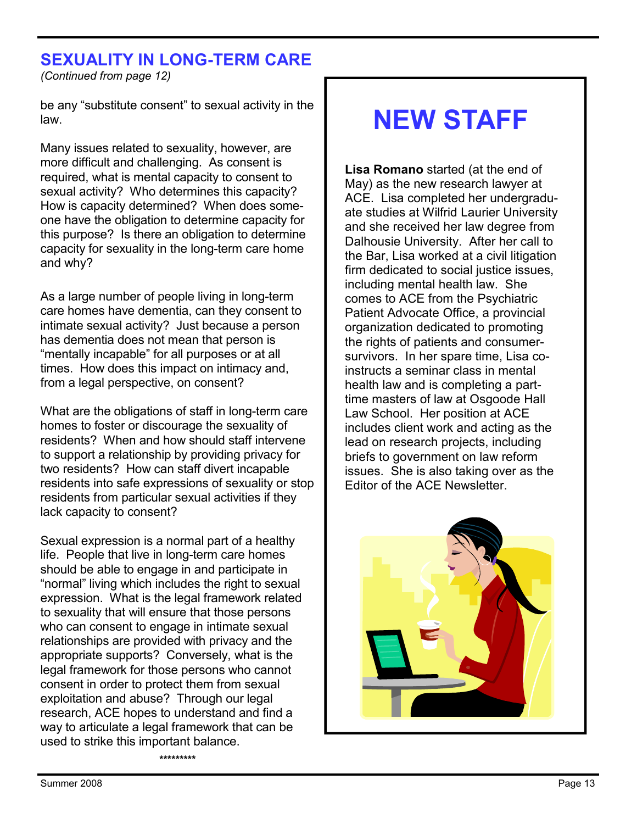## **SEXUALITY IN LONG-TERM CARE**

*(Continued from page 12)* 

be any "substitute consent" to sexual activity in the law.

Many issues related to sexuality, however, are more difficult and challenging. As consent is required, what is mental capacity to consent to sexual activity? Who determines this capacity? How is capacity determined? When does someone have the obligation to determine capacity for this purpose? Is there an obligation to determine capacity for sexuality in the long-term care home and why?

As a large number of people living in long-term care homes have dementia, can they consent to intimate sexual activity? Just because a person has dementia does not mean that person is "mentally incapable" for all purposes or at all times. How does this impact on intimacy and, from a legal perspective, on consent?

What are the obligations of staff in long-term care homes to foster or discourage the sexuality of residents? When and how should staff intervene to support a relationship by providing privacy for two residents? How can staff divert incapable residents into safe expressions of sexuality or stop residents from particular sexual activities if they lack capacity to consent?

Sexual expression is a normal part of a healthy life. People that live in long-term care homes should be able to engage in and participate in "normal" living which includes the right to sexual expression. What is the legal framework related to sexuality that will ensure that those persons who can consent to engage in intimate sexual relationships are provided with privacy and the appropriate supports? Conversely, what is the legal framework for those persons who cannot consent in order to protect them from sexual exploitation and abuse? Through our legal research, ACE hopes to understand and find a way to articulate a legal framework that can be used to strike this important balance.

**\*\*\*\*\*\*\*\*\*** 

## **NEW STAFF**

**Lisa Romano** started (at the end of May) as the new research lawyer at ACE. Lisa completed her undergraduate studies at Wilfrid Laurier University and she received her law degree from Dalhousie University. After her call to the Bar, Lisa worked at a civil litigation firm dedicated to social justice issues, including mental health law. She comes to ACE from the Psychiatric Patient Advocate Office, a provincial organization dedicated to promoting the rights of patients and consumersurvivors. In her spare time, Lisa coinstructs a seminar class in mental health law and is completing a parttime masters of law at Osgoode Hall Law School. Her position at ACE includes client work and acting as the lead on research projects, including briefs to government on law reform issues. She is also taking over as the Editor of the ACE Newsletter.

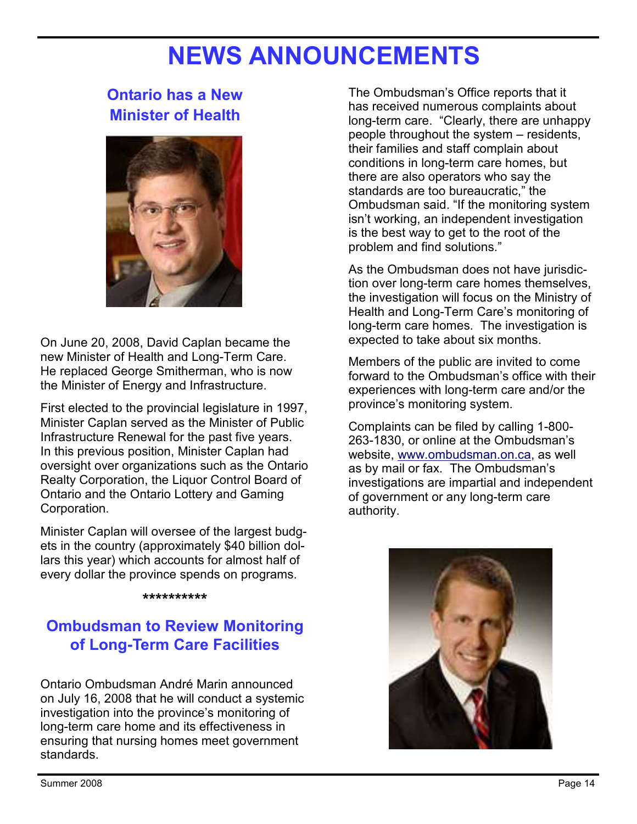## **NEWS ANNOUNCEMENTS**

## **Ontario has a New Minister of Health**



On June 20, 2008, David Caplan became the new Minister of Health and Long-Term Care. He replaced George Smitherman, who is now the Minister of Energy and Infrastructure.

First elected to the provincial legislature in 1997, Minister Caplan served as the Minister of Public Infrastructure Renewal for the past five years. In this previous position, Minister Caplan had oversight over organizations such as the Ontario Realty Corporation, the Liquor Control Board of Ontario and the Ontario Lottery and Gaming Corporation.

Minister Caplan will oversee of the largest budgets in the country (approximately \$40 billion dollars this year) which accounts for almost half of every dollar the province spends on programs.

#### **\*\*\*\*\*\*\*\*\*\***

## **Ombudsman to Review Monitoring of Long-Term Care Facilities**

Ontario Ombudsman André Marin announced on July 16, 2008 that he will conduct a systemic investigation into the province's monitoring of long-term care home and its effectiveness in ensuring that nursing homes meet government standards.

The Ombudsman's Office reports that it has received numerous complaints about long-term care. "Clearly, there are unhappy people throughout the system – residents, their families and staff complain about conditions in long-term care homes, but there are also operators who say the standards are too bureaucratic," the Ombudsman said. "If the monitoring system isn't working, an independent investigation is the best way to get to the root of the problem and find solutions."

As the Ombudsman does not have jurisdiction over long-term care homes themselves, the investigation will focus on the Ministry of Health and Long-Term Care's monitoring of long-term care homes. The investigation is expected to take about six months.

Members of the public are invited to come forward to the Ombudsman's office with their experiences with long-term care and/or the province's monitoring system.

Complaints can be filed by calling 1-800- 263-1830, or online at the Ombudsman's website, www.ombudsman.on.ca, as well as by mail or fax. The Ombudsman's investigations are impartial and independent of government or any long-term care authority.

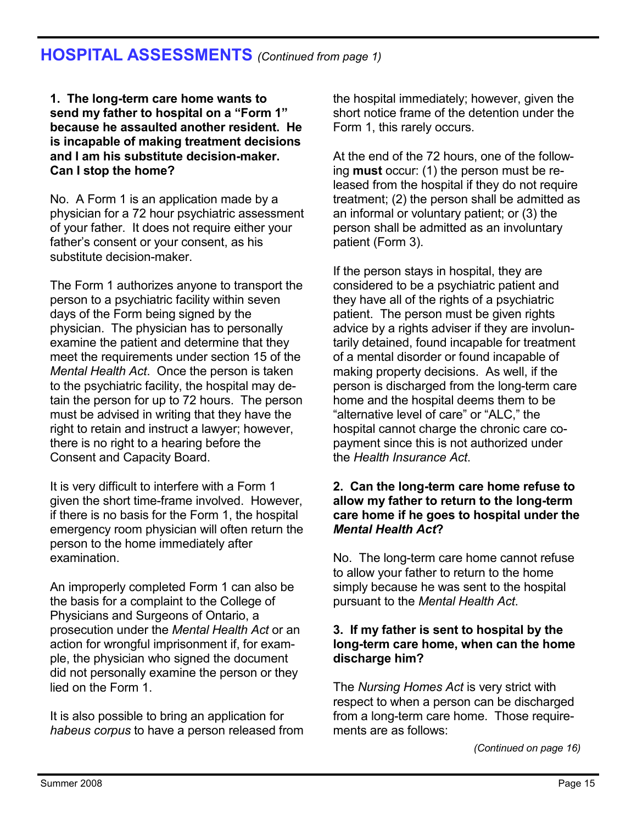## **HOSPITAL ASSESSMENTS** *(Continued from page 1)*

**1. The long-term care home wants to send my father to hospital on a "Form 1" because he assaulted another resident. He is incapable of making treatment decisions and I am his substitute decision-maker. Can I stop the home?**

No. A Form 1 is an application made by a physician for a 72 hour psychiatric assessment of your father. It does not require either your father's consent or your consent, as his substitute decision-maker.

The Form 1 authorizes anyone to transport the person to a psychiatric facility within seven days of the Form being signed by the physician. The physician has to personally examine the patient and determine that they meet the requirements under section 15 of the *Mental Health Act*. Once the person is taken to the psychiatric facility, the hospital may detain the person for up to 72 hours. The person must be advised in writing that they have the right to retain and instruct a lawyer; however, there is no right to a hearing before the Consent and Capacity Board.

It is very difficult to interfere with a Form 1 given the short time-frame involved. However, if there is no basis for the Form 1, the hospital emergency room physician will often return the person to the home immediately after examination.

An improperly completed Form 1 can also be the basis for a complaint to the College of Physicians and Surgeons of Ontario, a prosecution under the *Mental Health Act* or an action for wrongful imprisonment if, for example, the physician who signed the document did not personally examine the person or they lied on the Form 1.

It is also possible to bring an application for *habeus corpus* to have a person released from the hospital immediately; however, given the short notice frame of the detention under the Form 1, this rarely occurs.

At the end of the 72 hours, one of the following **must** occur: (1) the person must be released from the hospital if they do not require treatment; (2) the person shall be admitted as an informal or voluntary patient; or (3) the person shall be admitted as an involuntary patient (Form 3).

If the person stays in hospital, they are considered to be a psychiatric patient and they have all of the rights of a psychiatric patient. The person must be given rights advice by a rights adviser if they are involuntarily detained, found incapable for treatment of a mental disorder or found incapable of making property decisions. As well, if the person is discharged from the long-term care home and the hospital deems them to be "alternative level of care" or "ALC," the hospital cannot charge the chronic care copayment since this is not authorized under the *Health Insurance Act*.

#### **2. Can the long-term care home refuse to allow my father to return to the long-term care home if he goes to hospital under the**  *Mental Health Act***?**

No. The long-term care home cannot refuse to allow your father to return to the home simply because he was sent to the hospital pursuant to the *Mental Health Act*.

#### **3. If my father is sent to hospital by the long-term care home, when can the home discharge him?**

The *Nursing Homes Act* is very strict with respect to when a person can be discharged from a long-term care home. Those requirements are as follows:

*(Continued on page 16)*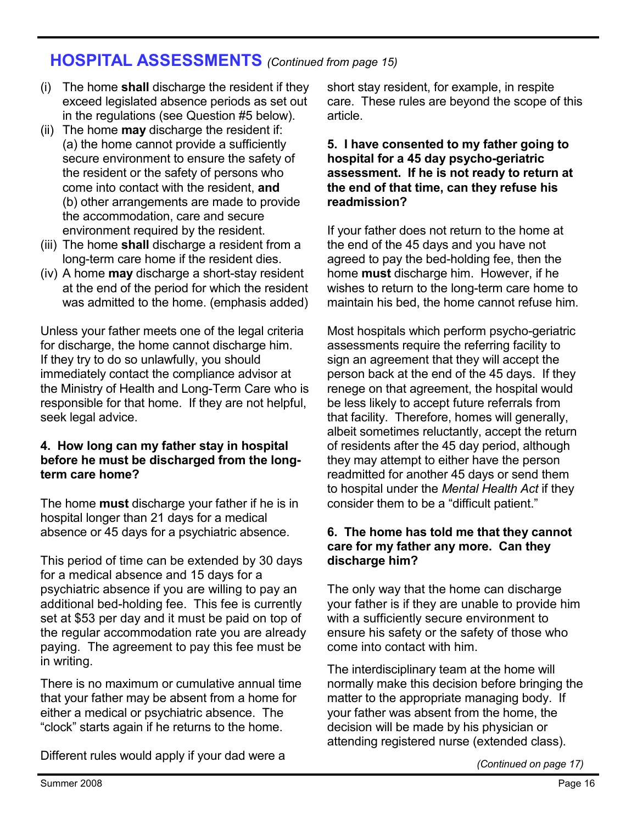## **HOSPITAL ASSESSMENTS** *(Continued from page 15)*

- (i) The home **shall** discharge the resident if they exceed legislated absence periods as set out in the regulations (see Question #5 below).
- (ii) The home **may** discharge the resident if: (a) the home cannot provide a sufficiently secure environment to ensure the safety of the resident or the safety of persons who come into contact with the resident, **and** (b) other arrangements are made to provide the accommodation, care and secure environment required by the resident.
- (iii) The home **shall** discharge a resident from a long-term care home if the resident dies.
- (iv) A home **may** discharge a short-stay resident at the end of the period for which the resident was admitted to the home. (emphasis added)

Unless your father meets one of the legal criteria for discharge, the home cannot discharge him. If they try to do so unlawfully, you should immediately contact the compliance advisor at the Ministry of Health and Long-Term Care who is responsible for that home. If they are not helpful, seek legal advice.

#### **4. How long can my father stay in hospital before he must be discharged from the longterm care home?**

The home **must** discharge your father if he is in hospital longer than 21 days for a medical absence or 45 days for a psychiatric absence.

This period of time can be extended by 30 days for a medical absence and 15 days for a psychiatric absence if you are willing to pay an additional bed-holding fee. This fee is currently set at \$53 per day and it must be paid on top of the regular accommodation rate you are already paying. The agreement to pay this fee must be in writing.

There is no maximum or cumulative annual time that your father may be absent from a home for either a medical or psychiatric absence. The "clock" starts again if he returns to the home.

Different rules would apply if your dad were a

short stay resident, for example, in respite care. These rules are beyond the scope of this article.

#### **5. I have consented to my father going to hospital for a 45 day psycho-geriatric assessment. If he is not ready to return at the end of that time, can they refuse his readmission?**

If your father does not return to the home at the end of the 45 days and you have not agreed to pay the bed-holding fee, then the home **must** discharge him. However, if he wishes to return to the long-term care home to maintain his bed, the home cannot refuse him.

Most hospitals which perform psycho-geriatric assessments require the referring facility to sign an agreement that they will accept the person back at the end of the 45 days. If they renege on that agreement, the hospital would be less likely to accept future referrals from that facility. Therefore, homes will generally, albeit sometimes reluctantly, accept the return of residents after the 45 day period, although they may attempt to either have the person readmitted for another 45 days or send them to hospital under the *Mental Health Act* if they consider them to be a "difficult patient."

#### **6. The home has told me that they cannot care for my father any more. Can they discharge him?**

The only way that the home can discharge your father is if they are unable to provide him with a sufficiently secure environment to ensure his safety or the safety of those who come into contact with him.

The interdisciplinary team at the home will normally make this decision before bringing the matter to the appropriate managing body. If your father was absent from the home, the decision will be made by his physician or attending registered nurse (extended class).

*(Continued on page 17)*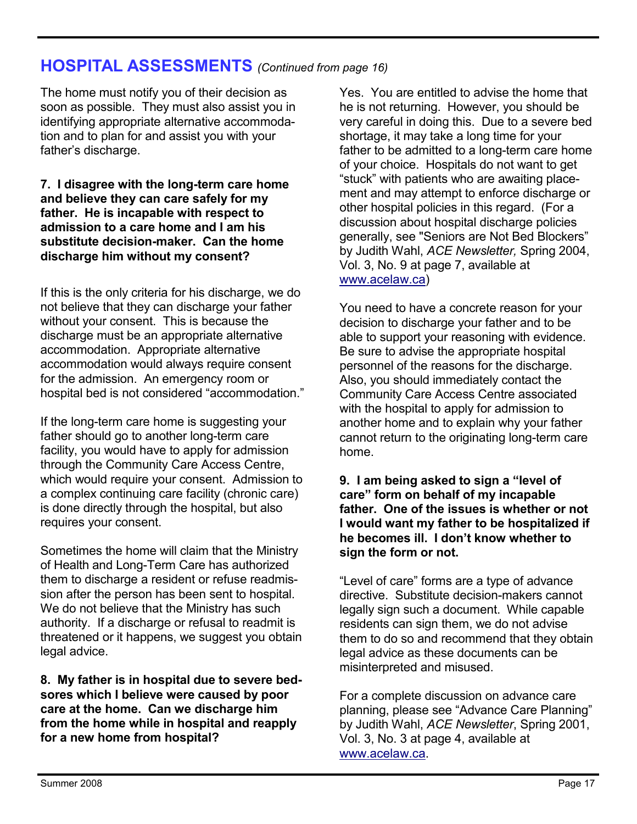### **HOSPITAL ASSESSMENTS** *(Continued from page 16)*

The home must notify you of their decision as soon as possible. They must also assist you in identifying appropriate alternative accommodation and to plan for and assist you with your father's discharge.

#### **7. I disagree with the long-term care home and believe they can care safely for my father. He is incapable with respect to admission to a care home and I am his substitute decision-maker. Can the home discharge him without my consent?**

If this is the only criteria for his discharge, we do not believe that they can discharge your father without your consent. This is because the discharge must be an appropriate alternative accommodation. Appropriate alternative accommodation would always require consent for the admission. An emergency room or hospital bed is not considered "accommodation."

If the long-term care home is suggesting your father should go to another long-term care facility, you would have to apply for admission through the Community Care Access Centre, which would require your consent. Admission to a complex continuing care facility (chronic care) is done directly through the hospital, but also requires your consent.

Sometimes the home will claim that the Ministry of Health and Long-Term Care has authorized them to discharge a resident or refuse readmission after the person has been sent to hospital. We do not believe that the Ministry has such authority. If a discharge or refusal to readmit is threatened or it happens, we suggest you obtain legal advice.

**8. My father is in hospital due to severe bedsores which I believe were caused by poor care at the home. Can we discharge him from the home while in hospital and reapply for a new home from hospital?**

Yes. You are entitled to advise the home that he is not returning. However, you should be very careful in doing this. Due to a severe bed shortage, it may take a long time for your father to be admitted to a long-term care home of your choice. Hospitals do not want to get "stuck" with patients who are awaiting placement and may attempt to enforce discharge or other hospital policies in this regard. (For a discussion about hospital discharge policies generally, see "Seniors are Not Bed Blockers" by Judith Wahl, *ACE Newsletter,* Spring 2004, Vol. 3, No. 9 at page 7, available at www.acelaw.ca)

You need to have a concrete reason for your decision to discharge your father and to be able to support your reasoning with evidence. Be sure to advise the appropriate hospital personnel of the reasons for the discharge. Also, you should immediately contact the Community Care Access Centre associated with the hospital to apply for admission to another home and to explain why your father cannot return to the originating long-term care home.

**9. I am being asked to sign a "level of care" form on behalf of my incapable father. One of the issues is whether or not I would want my father to be hospitalized if he becomes ill. I don't know whether to sign the form or not.** 

"Level of care" forms are a type of advance directive. Substitute decision-makers cannot legally sign such a document. While capable residents can sign them, we do not advise them to do so and recommend that they obtain legal advice as these documents can be misinterpreted and misused.

For a complete discussion on advance care planning, please see "Advance Care Planning" by Judith Wahl, *ACE Newsletter*, Spring 2001, Vol. 3, No. 3 at page 4, available at www.acelaw.ca.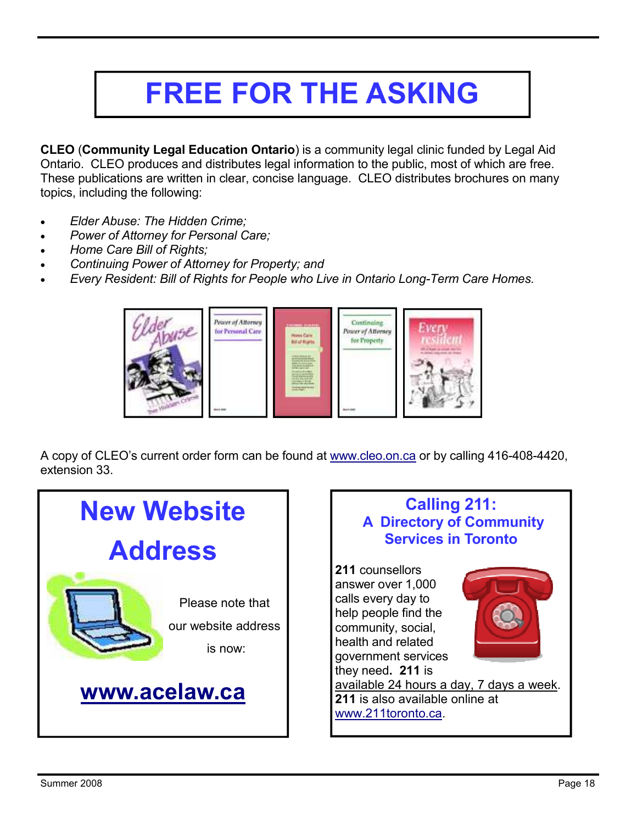# **FREE FOR THE ASKING**

**CLEO** (**Community Legal Education Ontario**) is a community legal clinic funded by Legal Aid Ontario. CLEO produces and distributes legal information to the public, most of which are free. These publications are written in clear, concise language. CLEO distributes brochures on many topics, including the following:

- *Elder Abuse: The Hidden Crime;*
- *Power of Attorney for Personal Care;*
- *Home Care Bill of Rights;*
- *Continuing Power of Attorney for Property; and*
- *Every Resident: Bill of Rights for People who Live in Ontario Long-Term Care Homes.*



A copy of CLEO's current order form can be found at www.cleo.on.ca or by calling 416-408-4420, extension 33.

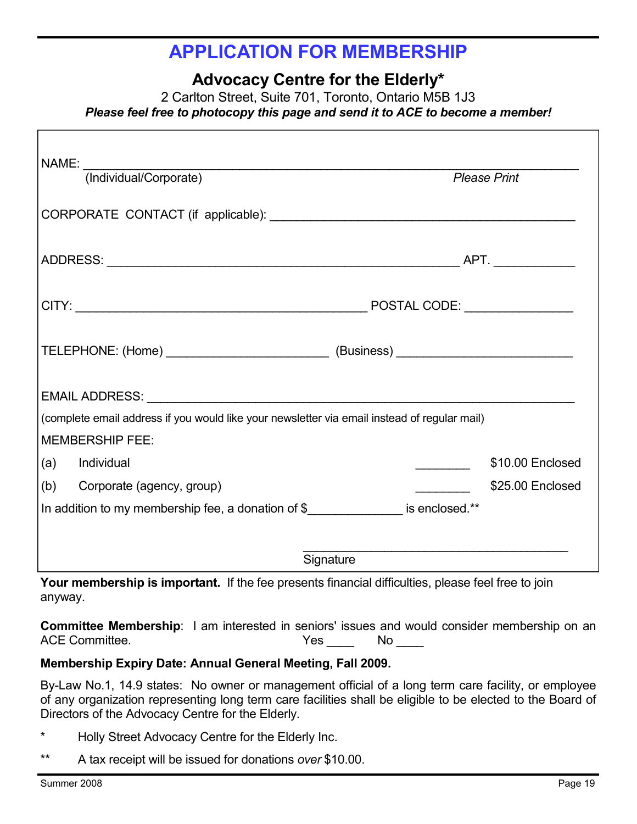## **APPLICATION FOR MEMBERSHIP**

**Advocacy Centre for the Elderly\*** 

2 Carlton Street, Suite 701, Toronto, Ontario M5B 1J3 *Please feel free to photocopy this page and send it to ACE to become a member!* 

| NAME: NAME<br>(Individual/Corporate)                                                                                                                                                                                          | <b>Please Print</b> |  |
|-------------------------------------------------------------------------------------------------------------------------------------------------------------------------------------------------------------------------------|---------------------|--|
|                                                                                                                                                                                                                               |                     |  |
|                                                                                                                                                                                                                               |                     |  |
|                                                                                                                                                                                                                               |                     |  |
| TELEPHONE: (Home) ___________________________________(Business) _________________                                                                                                                                             |                     |  |
| EMAIL ADDRESS: University of the Second Second Second Second Second Second Second Second Second Second Second Second Second Second Second Second Second Second Second Second Second Second Second Second Second Second Second |                     |  |
| (complete email address if you would like your newsletter via email instead of regular mail)                                                                                                                                  |                     |  |
| <b>MEMBERSHIP FEE:</b>                                                                                                                                                                                                        |                     |  |
| (a) Individual                                                                                                                                                                                                                | \$10.00 Enclosed    |  |
| (b) Corporate (agency, group)                                                                                                                                                                                                 | \$25.00 Enclosed    |  |
| In addition to my membership fee, a donation of \$                                                                                                                                                                            |                     |  |
| Signature                                                                                                                                                                                                                     |                     |  |

**Your membership is important.** If the fee presents financial difficulties, please feel free to join anyway.

**Committee Membership**: I am interested in seniors' issues and would consider membership on an ACE Committee. The set of the Second Second Second Second Second Second Second Second Second Second Second Second Second Second Second Second Second Second Second Second Second Second Second Second Second Second Second Sec

#### **Membership Expiry Date: Annual General Meeting, Fall 2009.**

By-Law No.1, 14.9 states: No owner or management official of a long term care facility, or employee of any organization representing long term care facilities shall be eligible to be elected to the Board of Directors of the Advocacy Centre for the Elderly.

- \* Holly Street Advocacy Centre for the Elderly Inc.
- \*\* A tax receipt will be issued for donations *over* \$10.00.